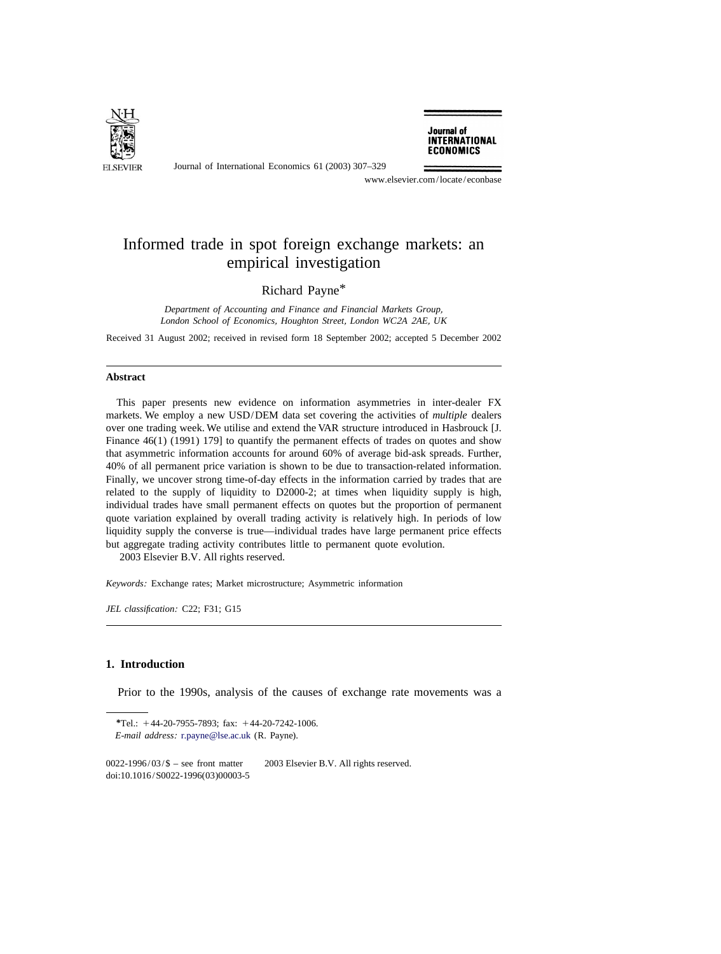

Journal of International Economics 61 (2003) 307–329

Journal of **INTERNATIONAL ECONOMICS** 

www.elsevier.com/locate/econbase

## Informed trade in spot foreign exchange markets: an empirical investigation

Richard Payne\*

*Department of Accounting and Finance and Financial Markets Group*, *London School of Economics*, *Houghton Street*, *London WC*2*A* <sup>2</sup>*AE*, *UK*

Received 31 August 2002; received in revised form 18 September 2002; accepted 5 December 2002

## **Abstract**

This paper presents new evidence on information asymmetries in inter-dealer FX markets. We employ a new USD/DEM data set covering the activities of *multiple* dealers over one trading week. We utilise and extend the VAR structure introduced in Hasbrouck [J. Finance 46(1) (1991) 179] to quantify the permanent effects of trades on quotes and show that asymmetric information accounts for around 60% of average bid-ask spreads. Further, 40% of all permanent price variation is shown to be due to transaction-related information. Finally, we uncover strong time-of-day effects in the information carried by trades that are related to the supply of liquidity to D2000-2; at times when liquidity supply is high, individual trades have small permanent effects on quotes but the proportion of permanent quote variation explained by overall trading activity is relatively high. In periods of low liquidity supply the converse is true—individual trades have large permanent price effects but aggregate trading activity contributes little to permanent quote evolution. 2003 Elsevier B.V. All rights reserved.

*Keywords*: Exchange rates; Market microstructure; Asymmetric information

*JEL classification*: C22; F31; G15

## **1. Introduction**

Prior to the 1990s, analysis of the causes of exchange rate movements was a

*<sup>\*</sup>*Tel.: 144-20-7955-7893; fax: 144-20-7242-1006.

*E*-*mail address*: [r.payne@lse.ac.uk](mailto:r.payne@lse.ac.uk) (R. Payne).

 $0022-1996/03/\$$  – see front matter  $\degree$  2003 Elsevier B.V. All rights reserved. doi:10.1016/S0022-1996(03)00003-5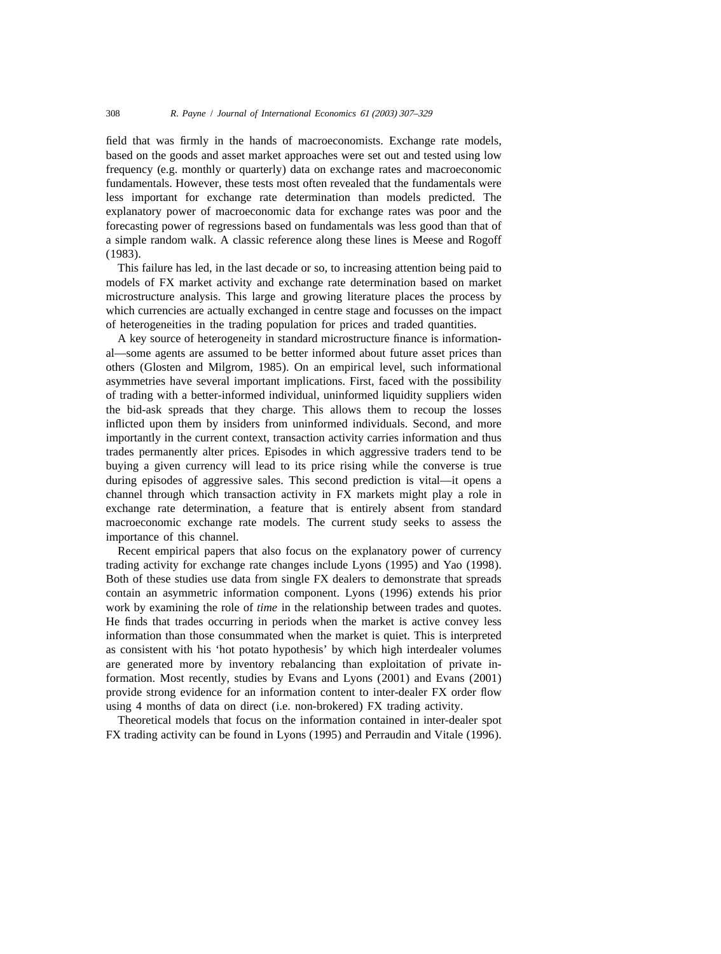field that was firmly in the hands of macroeconomists. Exchange rate models, based on the goods and asset market approaches were set out and tested using low frequency (e.g. monthly or quarterly) data on exchange rates and macroeconomic fundamentals. However, these tests most often revealed that the fundamentals were less important for exchange rate determination than models predicted. The explanatory power of macroeconomic data for exchange rates was poor and the forecasting power of regressions based on fundamentals was less good than that of a simple random walk. A classic reference along these lines is Meese and Rogoff (1983).

This failure has led, in the last decade or so, to increasing attention being paid to models of FX market activity and exchange rate determination based on market microstructure analysis. This large and growing literature places the process by which currencies are actually exchanged in centre stage and focusses on the impact of heterogeneities in the trading population for prices and traded quantities.

A key source of heterogeneity in standard microstructure finance is informational—some agents are assumed to be better informed about future asset prices than others (Glosten and Milgrom, 1985). On an empirical level, such informational asymmetries have several important implications. First, faced with the possibility of trading with a better-informed individual, uninformed liquidity suppliers widen the bid-ask spreads that they charge. This allows them to recoup the losses inflicted upon them by insiders from uninformed individuals. Second, and more importantly in the current context, transaction activity carries information and thus trades permanently alter prices. Episodes in which aggressive traders tend to be buying a given currency will lead to its price rising while the converse is true during episodes of aggressive sales. This second prediction is vital—it opens a channel through which transaction activity in FX markets might play a role in exchange rate determination, a feature that is entirely absent from standard macroeconomic exchange rate models. The current study seeks to assess the importance of this channel.

Recent empirical papers that also focus on the explanatory power of currency trading activity for exchange rate changes include Lyons (1995) and Yao (1998). Both of these studies use data from single FX dealers to demonstrate that spreads contain an asymmetric information component. Lyons (1996) extends his prior work by examining the role of *time* in the relationship between trades and quotes. He finds that trades occurring in periods when the market is active convey less information than those consummated when the market is quiet. This is interpreted as consistent with his 'hot potato hypothesis' by which high interdealer volumes are generated more by inventory rebalancing than exploitation of private information. Most recently, studies by Evans and Lyons (2001) and Evans (2001) provide strong evidence for an information content to inter-dealer FX order flow using 4 months of data on direct (i.e. non-brokered) FX trading activity.

Theoretical models that focus on the information contained in inter-dealer spot FX trading activity can be found in Lyons (1995) and Perraudin and Vitale (1996).